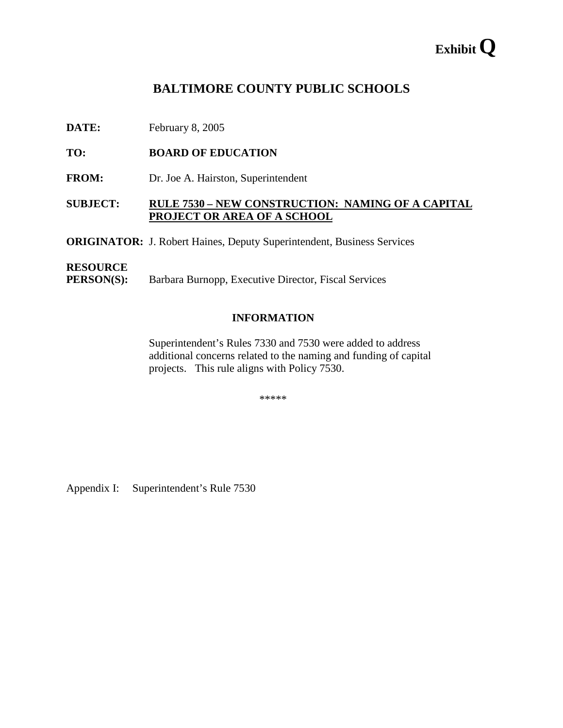# **Exhibit Q**

# **BALTIMORE COUNTY PUBLIC SCHOOLS**

**DATE:** February 8, 2005

**TO: BOARD OF EDUCATION** 

**FROM:** Dr. Joe A. Hairston, Superintendent

# **SUBJECT: RULE 7530 – NEW CONSTRUCTION: NAMING OF A CAPITAL PROJECT OR AREA OF A SCHOOL**

**ORIGINATOR:** J. Robert Haines, Deputy Superintendent, Business Services

#### **RESOURCE**

**PERSON(S):** Barbara Burnopp, Executive Director, Fiscal Services

#### **INFORMATION**

Superintendent's Rules 7330 and 7530 were added to address additional concerns related to the naming and funding of capital projects. This rule aligns with Policy 7530.

\*\*\*\*\*

Appendix I: Superintendent's Rule 7530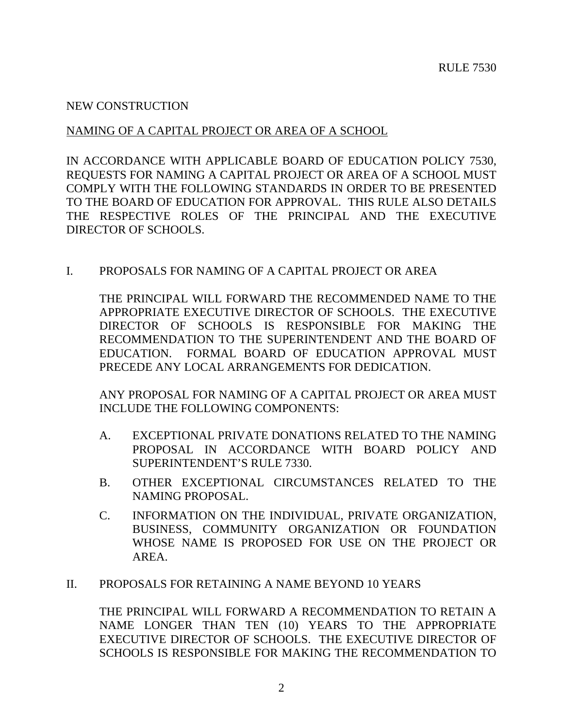# NEW CONSTRUCTION

# NAMING OF A CAPITAL PROJECT OR AREA OF A SCHOOL

IN ACCORDANCE WITH APPLICABLE BOARD OF EDUCATION POLICY 7530, REQUESTS FOR NAMING A CAPITAL PROJECT OR AREA OF A SCHOOL MUST COMPLY WITH THE FOLLOWING STANDARDS IN ORDER TO BE PRESENTED TO THE BOARD OF EDUCATION FOR APPROVAL. THIS RULE ALSO DETAILS THE RESPECTIVE ROLES OF THE PRINCIPAL AND THE EXECUTIVE DIRECTOR OF SCHOOLS.

# I. PROPOSALS FOR NAMING OF A CAPITAL PROJECT OR AREA

THE PRINCIPAL WILL FORWARD THE RECOMMENDED NAME TO THE APPROPRIATE EXECUTIVE DIRECTOR OF SCHOOLS. THE EXECUTIVE DIRECTOR OF SCHOOLS IS RESPONSIBLE FOR MAKING THE RECOMMENDATION TO THE SUPERINTENDENT AND THE BOARD OF EDUCATION. FORMAL BOARD OF EDUCATION APPROVAL MUST PRECEDE ANY LOCAL ARRANGEMENTS FOR DEDICATION.

ANY PROPOSAL FOR NAMING OF A CAPITAL PROJECT OR AREA MUST INCLUDE THE FOLLOWING COMPONENTS:

- A. EXCEPTIONAL PRIVATE DONATIONS RELATED TO THE NAMING PROPOSAL IN ACCORDANCE WITH BOARD POLICY AND SUPERINTENDENT'S RULE 7330.
- B. OTHER EXCEPTIONAL CIRCUMSTANCES RELATED TO THE NAMING PROPOSAL.
- C. INFORMATION ON THE INDIVIDUAL, PRIVATE ORGANIZATION, BUSINESS, COMMUNITY ORGANIZATION OR FOUNDATION WHOSE NAME IS PROPOSED FOR USE ON THE PROJECT OR AREA.

# II. PROPOSALS FOR RETAINING A NAME BEYOND 10 YEARS

THE PRINCIPAL WILL FORWARD A RECOMMENDATION TO RETAIN A NAME LONGER THAN TEN (10) YEARS TO THE APPROPRIATE EXECUTIVE DIRECTOR OF SCHOOLS. THE EXECUTIVE DIRECTOR OF SCHOOLS IS RESPONSIBLE FOR MAKING THE RECOMMENDATION TO